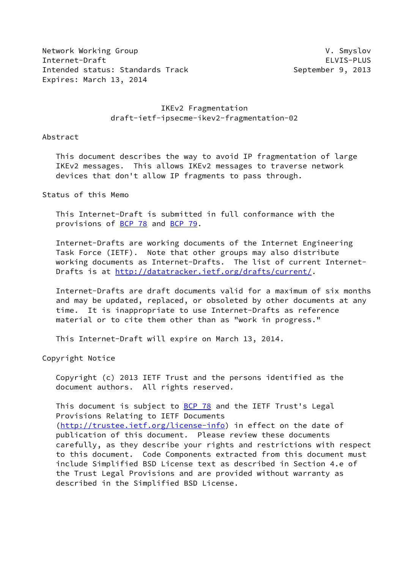Network Working Group **V. Smyslov** V. Smyslov Internet-Draft ELVIS-PLUS Intended status: Standards Track September 9, 2013 Expires: March 13, 2014

## IKEv2 Fragmentation draft-ietf-ipsecme-ikev2-fragmentation-02

Abstract

 This document describes the way to avoid IP fragmentation of large IKEv2 messages. This allows IKEv2 messages to traverse network devices that don't allow IP fragments to pass through.

Status of this Memo

 This Internet-Draft is submitted in full conformance with the provisions of [BCP 78](https://datatracker.ietf.org/doc/pdf/bcp78) and [BCP 79](https://datatracker.ietf.org/doc/pdf/bcp79).

 Internet-Drafts are working documents of the Internet Engineering Task Force (IETF). Note that other groups may also distribute working documents as Internet-Drafts. The list of current Internet Drafts is at<http://datatracker.ietf.org/drafts/current/>.

 Internet-Drafts are draft documents valid for a maximum of six months and may be updated, replaced, or obsoleted by other documents at any time. It is inappropriate to use Internet-Drafts as reference material or to cite them other than as "work in progress."

This Internet-Draft will expire on March 13, 2014.

Copyright Notice

 Copyright (c) 2013 IETF Trust and the persons identified as the document authors. All rights reserved.

This document is subject to **[BCP 78](https://datatracker.ietf.org/doc/pdf/bcp78)** and the IETF Trust's Legal Provisions Relating to IETF Documents [\(http://trustee.ietf.org/license-info](http://trustee.ietf.org/license-info)) in effect on the date of publication of this document. Please review these documents carefully, as they describe your rights and restrictions with respect to this document. Code Components extracted from this document must include Simplified BSD License text as described in Section 4.e of the Trust Legal Provisions and are provided without warranty as described in the Simplified BSD License.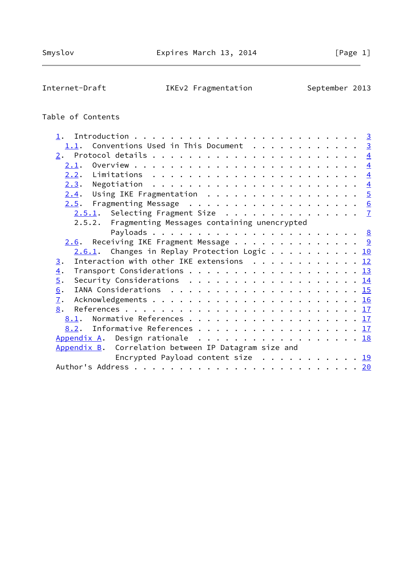Internet-Draft IKEv2 Fragmentation September 2013

# Table of Contents

| Conventions Used in This Document 3<br>1.1.             |  |
|---------------------------------------------------------|--|
|                                                         |  |
| 2.1.                                                    |  |
|                                                         |  |
|                                                         |  |
| $2.4$ . Using IKE Fragmentation 5                       |  |
|                                                         |  |
| $2.5.1$ . Selecting Fragment Size $\frac{7}{2}$         |  |
| 2.5.2. Fragmenting Messages containing unencrypted      |  |
|                                                         |  |
| $2.6$ . Receiving IKE Fragment Message 9                |  |
| $2.6.1$ . Changes in Replay Protection Logic 10         |  |
| Interaction with other IKE extensions $\cdots$ 12<br>3. |  |
| Transport Considerations 13<br>$\overline{4}$ .         |  |
| $\overline{5}$ .<br>Security Considerations $\cdots$ 14 |  |
| 6.                                                      |  |
| $\overline{1}$ .                                        |  |
| 8.                                                      |  |
| 8.1. Normative References 17                            |  |
| 8.2. Informative References 17                          |  |
| Appendix A. Design rationale 18                         |  |
| Appendix B. Correlation between IP Datagram size and    |  |
|                                                         |  |
| Encrypted Payload content size 19                       |  |
|                                                         |  |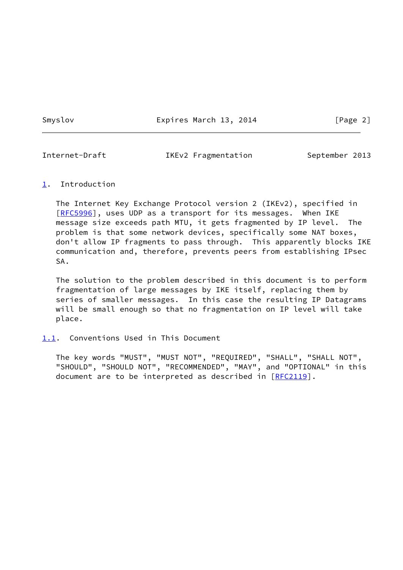Smyslov **Expires March 13, 2014** [Page 2]

<span id="page-2-1"></span>

Internet-Draft IKEv2 Fragmentation September 2013

#### <span id="page-2-0"></span>[1](#page-2-0). Introduction

 The Internet Key Exchange Protocol version 2 (IKEv2), specified in [\[RFC5996](https://datatracker.ietf.org/doc/pdf/rfc5996)], uses UDP as a transport for its messages. When IKE message size exceeds path MTU, it gets fragmented by IP level. The problem is that some network devices, specifically some NAT boxes, don't allow IP fragments to pass through. This apparently blocks IKE communication and, therefore, prevents peers from establishing IPsec SA.

 The solution to the problem described in this document is to perform fragmentation of large messages by IKE itself, replacing them by series of smaller messages. In this case the resulting IP Datagrams will be small enough so that no fragmentation on IP level will take place.

<span id="page-2-2"></span>[1.1](#page-2-2). Conventions Used in This Document

 The key words "MUST", "MUST NOT", "REQUIRED", "SHALL", "SHALL NOT", "SHOULD", "SHOULD NOT", "RECOMMENDED", "MAY", and "OPTIONAL" in this document are to be interpreted as described in [\[RFC2119](https://datatracker.ietf.org/doc/pdf/rfc2119)].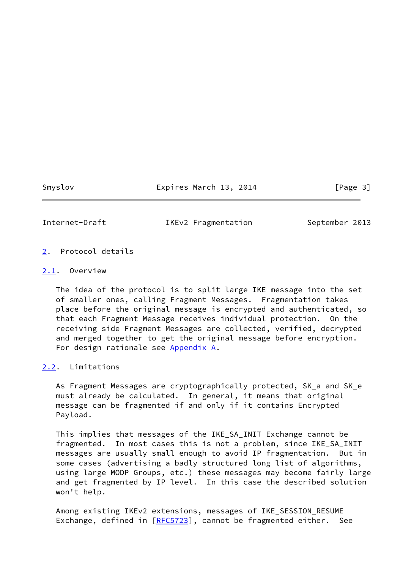Smyslov Expires March 13, 2014 [Page 3]

<span id="page-3-1"></span>

Internet-Draft IKEv2 Fragmentation September 2013

- <span id="page-3-0"></span>[2](#page-3-0). Protocol details
- <span id="page-3-2"></span>[2.1](#page-3-2). Overview

 The idea of the protocol is to split large IKE message into the set of smaller ones, calling Fragment Messages. Fragmentation takes place before the original message is encrypted and authenticated, so that each Fragment Message receives individual protection. On the receiving side Fragment Messages are collected, verified, decrypted and merged together to get the original message before encryption. For design rationale see [Appendix A.](#page-19-0)

<span id="page-3-3"></span>[2.2](#page-3-3). Limitations

 As Fragment Messages are cryptographically protected, SK\_a and SK\_e must already be calculated. In general, it means that original message can be fragmented if and only if it contains Encrypted Payload.

 This implies that messages of the IKE\_SA\_INIT Exchange cannot be fragmented. In most cases this is not a problem, since IKE\_SA\_INIT messages are usually small enough to avoid IP fragmentation. But in some cases (advertising a badly structured long list of algorithms, using large MODP Groups, etc.) these messages may become fairly large and get fragmented by IP level. In this case the described solution won't help.

 Among existing IKEv2 extensions, messages of IKE\_SESSION\_RESUME Exchange, defined in [\[RFC5723](https://datatracker.ietf.org/doc/pdf/rfc5723)], cannot be fragmented either. See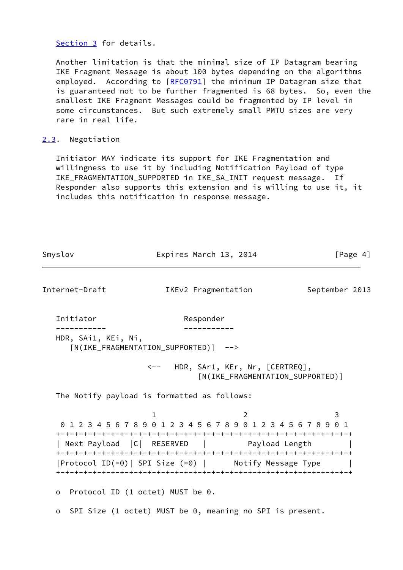[Section 3](#page-12-0) for details.

 Another limitation is that the minimal size of IP Datagram bearing IKE Fragment Message is about 100 bytes depending on the algorithms employed. According to [\[RFC0791](https://datatracker.ietf.org/doc/pdf/rfc0791)] the minimum IP Datagram size that is guaranteed not to be further fragmented is 68 bytes. So, even the smallest IKE Fragment Messages could be fragmented by IP level in some circumstances. But such extremely small PMTU sizes are very rare in real life.

#### <span id="page-4-0"></span>[2.3](#page-4-0). Negotiation

 Initiator MAY indicate its support for IKE Fragmentation and willingness to use it by including Notification Payload of type IKE\_FRAGMENTATION\_SUPPORTED in IKE\_SA\_INIT request message. If Responder also supports this extension and is willing to use it, it includes this notification in response message.

<span id="page-4-1"></span>

| Smyslov                                     |                                               | Expires March 13, 2014                                                 | [Page $4$ ]    |
|---------------------------------------------|-----------------------------------------------|------------------------------------------------------------------------|----------------|
| Internet-Draft                              |                                               | IKEv2 Fragmentation                                                    | September 2013 |
| Initiator                                   |                                               | Responder                                                              |                |
| HDR, SAi1, KEi, Ni,                         | [N(IKE_FRAGMENTATION_SUPPORTED)] -->          |                                                                        |                |
|                                             |                                               | <-- HDR, SAr1, KEr, Nr, [CERTREQ],<br>[N(IKE_FRAGMENTATION_SUPPORTED)] |                |
| The Notify payload is formatted as follows: |                                               |                                                                        |                |
|                                             | $\mathbf{1}$                                  | 2<br>0 1 2 3 4 5 6 7 8 9 0 1 2 3 4 5 6 7 8 9 0 1 2 3 4 5 6 7 8 9 0 1   | 3              |
|                                             |                                               | Next Payload   C   RESERVED   Payload Length                           |                |
|                                             |                                               | Protocol ID(=0)  SPI Size (=0)         Notify Message Type             |                |
| $\circ$                                     | Protocol ID $(1 \text{ octet})$ MUST be $0$ . |                                                                        |                |
| $\circ$                                     |                                               | SPI Size (1 octet) MUST be 0, meaning no SPI is present.               |                |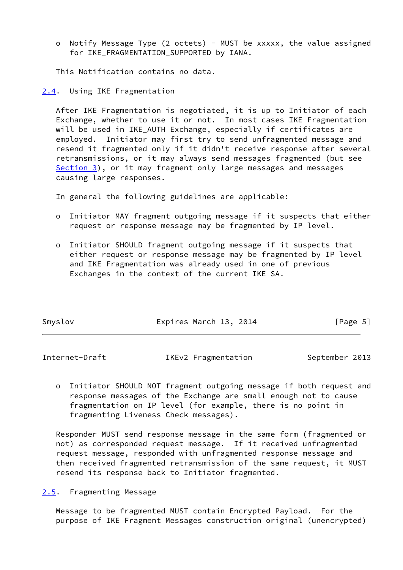o Notify Message Type (2 octets) - MUST be xxxxx, the value assigned for IKE FRAGMENTATION SUPPORTED by IANA.

This Notification contains no data.

<span id="page-5-0"></span>[2.4](#page-5-0). Using IKE Fragmentation

 After IKE Fragmentation is negotiated, it is up to Initiator of each Exchange, whether to use it or not. In most cases IKE Fragmentation will be used in IKE\_AUTH Exchange, especially if certificates are employed. Initiator may first try to send unfragmented message and resend it fragmented only if it didn't receive response after several retransmissions, or it may always send messages fragmented (but see [Section 3](#page-12-0)), or it may fragment only large messages and messages causing large responses.

In general the following guidelines are applicable:

- o Initiator MAY fragment outgoing message if it suspects that either request or response message may be fragmented by IP level.
- o Initiator SHOULD fragment outgoing message if it suspects that either request or response message may be fragmented by IP level and IKE Fragmentation was already used in one of previous Exchanges in the context of the current IKE SA.

| Smyslov | Expires March 13, 2014 | [Page 5] |
|---------|------------------------|----------|
|         |                        |          |

<span id="page-5-2"></span>Internet-Draft TKEv2 Fragmentation September 2013

 o Initiator SHOULD NOT fragment outgoing message if both request and response messages of the Exchange are small enough not to cause fragmentation on IP level (for example, there is no point in fragmenting Liveness Check messages).

 Responder MUST send response message in the same form (fragmented or not) as corresponded request message. If it received unfragmented request message, responded with unfragmented response message and then received fragmented retransmission of the same request, it MUST resend its response back to Initiator fragmented.

<span id="page-5-1"></span>[2.5](#page-5-1). Fragmenting Message

 Message to be fragmented MUST contain Encrypted Payload. For the purpose of IKE Fragment Messages construction original (unencrypted)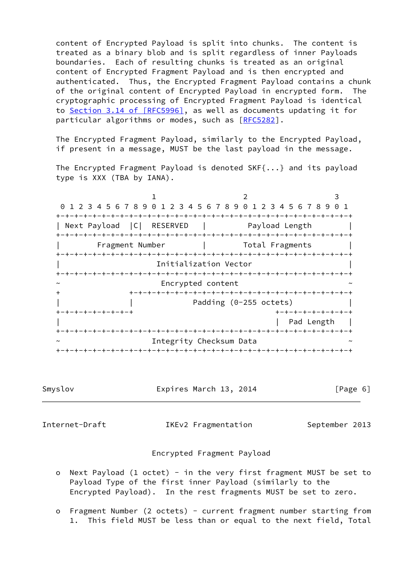content of Encrypted Payload is split into chunks. The content is treated as a binary blob and is split regardless of inner Payloads boundaries. Each of resulting chunks is treated as an original content of Encrypted Fragment Payload and is then encrypted and authenticated. Thus, the Encrypted Fragment Payload contains a chunk of the original content of Encrypted Payload in encrypted form. The cryptographic processing of Encrypted Fragment Payload is identical to Section [3.14 of \[RFC5996\],](https://datatracker.ietf.org/doc/pdf/rfc5996#section-3.14) as well as documents updating it for particular algorithms or modes, such as [\[RFC5282](https://datatracker.ietf.org/doc/pdf/rfc5282)].

 The Encrypted Fragment Payload, similarly to the Encrypted Payload, if present in a message, MUST be the last payload in the message.

 The Encrypted Fragment Payload is denoted SKF{...} and its payload type is XXX (TBA by IANA).

1 2 3 0 1 2 3 4 5 6 7 8 9 0 1 2 3 4 5 6 7 8 9 0 1 2 3 4 5 6 7 8 9 0 1 +-+-+-+-+-+-+-+-+-+-+-+-+-+-+-+-+-+-+-+-+-+-+-+-+-+-+-+-+-+-+-+-+ | Next Payload | C | RESERVED | Payload Length +-+-+-+-+-+-+-+-+-+-+-+-+-+-+-+-+-+-+-+-+-+-+-+-+-+-+-+-+-+-+-+-+ | Fragment Number | Total Fragments | +-+-+-+-+-+-+-+-+-+-+-+-+-+-+-+-+-+-+-+-+-+-+-+-+-+-+-+-+-+-+-+-+ Initialization Vector +-+-+-+-+-+-+-+-+-+-+-+-+-+-+-+-+-+-+-+-+-+-+-+-+-+-+-+-+-+-+-+-+ Encrypted content + +-+-+-+-+-+-+-+-+-+-+-+-+-+-+-+-+-+-+-+-+-+-+-+-+ Padding (0-255 octets) +-+-+-+-+-+-+-+-+ +-+-+-+-+-+-+-+-+ | Pad Length | +-+-+-+-+-+-+-+-+-+-+-+-+-+-+-+-+-+-+-+-+-+-+-+-+-+-+-+-+-+-+-+-+ Integrity Checksum Data +-+-+-+-+-+-+-+-+-+-+-+-+-+-+-+-+-+-+-+-+-+-+-+-+-+-+-+-+-+-+-+-+

Smyslov Expires March 13, 2014 [Page 6]

<span id="page-6-0"></span>

Internet-Draft IKEv2 Fragmentation September 2013

#### Encrypted Fragment Payload

- o Next Payload (1 octet) in the very first fragment MUST be set to Payload Type of the first inner Payload (similarly to the Encrypted Payload). In the rest fragments MUST be set to zero.
- o Fragment Number (2 octets) current fragment number starting from 1. This field MUST be less than or equal to the next field, Total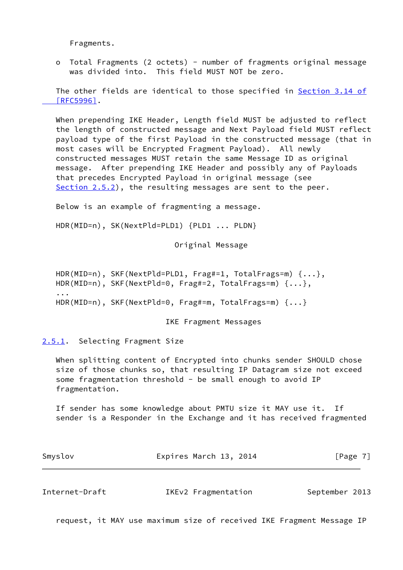Fragments.

 o Total Fragments (2 octets) - number of fragments original message was divided into. This field MUST NOT be zero.

 The other fields are identical to those specified in [Section](https://datatracker.ietf.org/doc/pdf/rfc5996#section-3.14) 3.14 of  [\[RFC5996\]](https://datatracker.ietf.org/doc/pdf/rfc5996#section-3.14).

 When prepending IKE Header, Length field MUST be adjusted to reflect the length of constructed message and Next Payload field MUST reflect payload type of the first Payload in the constructed message (that in most cases will be Encrypted Fragment Payload). All newly constructed messages MUST retain the same Message ID as original message. After prepending IKE Header and possibly any of Payloads that precedes Encrypted Payload in original message (see [Section 2.5.2](#page-8-0)), the resulting messages are sent to the peer.

Below is an example of fragmenting a message.

HDR(MID=n), SK(NextPld=PLD1) {PLD1 ... PLDN}

Original Message

```
 HDR(MID=n), SKF(NextPld=PLD1, Frag#=1, TotalFrags=m) {...},
HDR(MID=n), SKF(NextPld=0, Frag#=2, TotalFrags=m) {...},
...
HDR(MID=n), SKF(NextPld=0, Frag#=m, TotalFrags=m) {...}
```
IKE Fragment Messages

<span id="page-7-0"></span>[2.5.1](#page-7-0). Selecting Fragment Size

 When splitting content of Encrypted into chunks sender SHOULD chose size of those chunks so, that resulting IP Datagram size not exceed some fragmentation threshold - be small enough to avoid IP fragmentation.

 If sender has some knowledge about PMTU size it MAY use it. If sender is a Responder in the Exchange and it has received fragmented

| Smyslov | Expires March 13, 2014 | [Page $7$ ] |  |
|---------|------------------------|-------------|--|
|         |                        |             |  |

<span id="page-7-1"></span>Internet-Draft IKEv2 Fragmentation September 2013

request, it MAY use maximum size of received IKE Fragment Message IP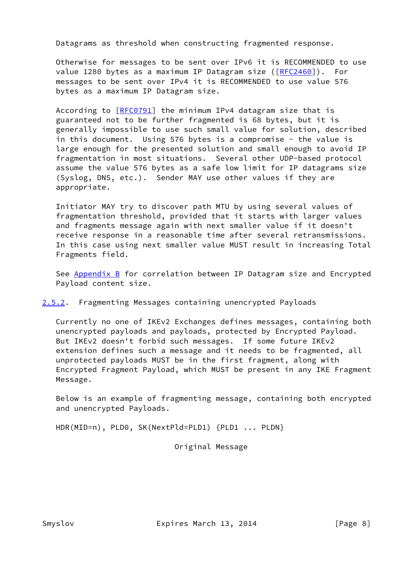Datagrams as threshold when constructing fragmented response.

 Otherwise for messages to be sent over IPv6 it is RECOMMENDED to use value 1280 bytes as a maximum IP Datagram size ([\[RFC2460](https://datatracker.ietf.org/doc/pdf/rfc2460)]). For messages to be sent over IPv4 it is RECOMMENDED to use value 576 bytes as a maximum IP Datagram size.

According to [\[RFC0791](https://datatracker.ietf.org/doc/pdf/rfc0791)] the minimum IPv4 datagram size that is guaranteed not to be further fragmented is 68 bytes, but it is generally impossible to use such small value for solution, described in this document. Using 576 bytes is a compromise - the value is large enough for the presented solution and small enough to avoid IP fragmentation in most situations. Several other UDP-based protocol assume the value 576 bytes as a safe low limit for IP datagrams size (Syslog, DNS, etc.). Sender MAY use other values if they are appropriate.

 Initiator MAY try to discover path MTU by using several values of fragmentation threshold, provided that it starts with larger values and fragments message again with next smaller value if it doesn't receive response in a reasonable time after several retransmissions. In this case using next smaller value MUST result in increasing Total Fragments field.

See [Appendix B](#page-20-0) for correlation between IP Datagram size and Encrypted Payload content size.

## <span id="page-8-0"></span>[2.5.2](#page-8-0). Fragmenting Messages containing unencrypted Payloads

 Currently no one of IKEv2 Exchanges defines messages, containing both unencrypted payloads and payloads, protected by Encrypted Payload. But IKEv2 doesn't forbid such messages. If some future IKEv2 extension defines such a message and it needs to be fragmented, all unprotected payloads MUST be in the first fragment, along with Encrypted Fragment Payload, which MUST be present in any IKE Fragment Message.

 Below is an example of fragmenting message, containing both encrypted and unencrypted Payloads.

HDR(MID=n), PLD0, SK(NextPld=PLD1) {PLD1 ... PLDN}

Original Message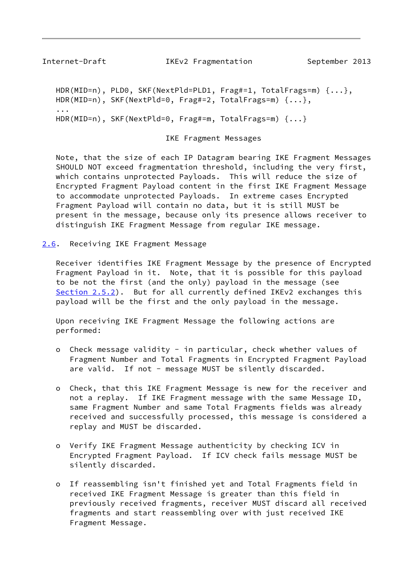<span id="page-9-1"></span>Internet-Draft IKEv2 Fragmentation September 2013

```
 HDR(MID=n), PLD0, SKF(NextPld=PLD1, Frag#=1, TotalFrags=m) {...},
HDR(MID=n), SKF(NextPld=0, Frag#=2, TotalFrags=m) {...},
...
HDR(MID=n), SKF(NextPld=0, Frag#=m, TotalFrags=m) {...}
```
IKE Fragment Messages

 Note, that the size of each IP Datagram bearing IKE Fragment Messages SHOULD NOT exceed fragmentation threshold, including the very first, which contains unprotected Payloads. This will reduce the size of Encrypted Fragment Payload content in the first IKE Fragment Message to accommodate unprotected Payloads. In extreme cases Encrypted Fragment Payload will contain no data, but it is still MUST be present in the message, because only its presence allows receiver to distinguish IKE Fragment Message from regular IKE message.

<span id="page-9-0"></span>[2.6](#page-9-0). Receiving IKE Fragment Message

 Receiver identifies IKE Fragment Message by the presence of Encrypted Fragment Payload in it. Note, that it is possible for this payload to be not the first (and the only) payload in the message (see [Section 2.5.2](#page-8-0)). But for all currently defined IKEv2 exchanges this payload will be the first and the only payload in the message.

 Upon receiving IKE Fragment Message the following actions are performed:

- o Check message validity in particular, check whether values of Fragment Number and Total Fragments in Encrypted Fragment Payload are valid. If not - message MUST be silently discarded.
- o Check, that this IKE Fragment Message is new for the receiver and not a replay. If IKE Fragment message with the same Message ID, same Fragment Number and same Total Fragments fields was already received and successfully processed, this message is considered a replay and MUST be discarded.
- o Verify IKE Fragment Message authenticity by checking ICV in Encrypted Fragment Payload. If ICV check fails message MUST be silently discarded.
- o If reassembling isn't finished yet and Total Fragments field in received IKE Fragment Message is greater than this field in previously received fragments, receiver MUST discard all received fragments and start reassembling over with just received IKE Fragment Message.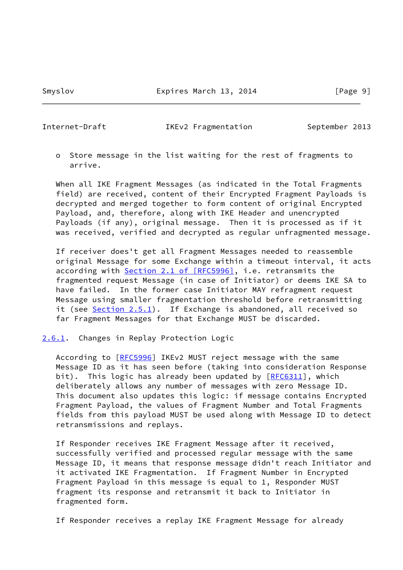<span id="page-10-1"></span>

Internet-Draft IKEv2 Fragmentation September 2013

 o Store message in the list waiting for the rest of fragments to arrive.

 When all IKE Fragment Messages (as indicated in the Total Fragments field) are received, content of their Encrypted Fragment Payloads is decrypted and merged together to form content of original Encrypted Payload, and, therefore, along with IKE Header and unencrypted Payloads (if any), original message. Then it is processed as if it was received, verified and decrypted as regular unfragmented message.

 If receiver does't get all Fragment Messages needed to reassemble original Message for some Exchange within a timeout interval, it acts according with Section [2.1 of \[RFC5996\],](https://datatracker.ietf.org/doc/pdf/rfc5996#section-2.1) i.e. retransmits the fragmented request Message (in case of Initiator) or deems IKE SA to have failed. In the former case Initiator MAY refragment request Message using smaller fragmentation threshold before retransmitting it (see [Section 2.5.1](#page-7-0)). If Exchange is abandoned, all received so far Fragment Messages for that Exchange MUST be discarded.

<span id="page-10-0"></span>[2.6.1](#page-10-0). Changes in Replay Protection Logic

 According to [\[RFC5996](https://datatracker.ietf.org/doc/pdf/rfc5996)] IKEv2 MUST reject message with the same Message ID as it has seen before (taking into consideration Response bit). This logic has already been updated by  $[REC6311]$ , which deliberately allows any number of messages with zero Message ID. This document also updates this logic: if message contains Encrypted Fragment Payload, the values of Fragment Number and Total Fragments fields from this payload MUST be used along with Message ID to detect retransmissions and replays.

 If Responder receives IKE Fragment Message after it received, successfully verified and processed regular message with the same Message ID, it means that response message didn't reach Initiator and it activated IKE Fragmentation. If Fragment Number in Encrypted Fragment Payload in this message is equal to 1, Responder MUST fragment its response and retransmit it back to Initiator in fragmented form.

If Responder receives a replay IKE Fragment Message for already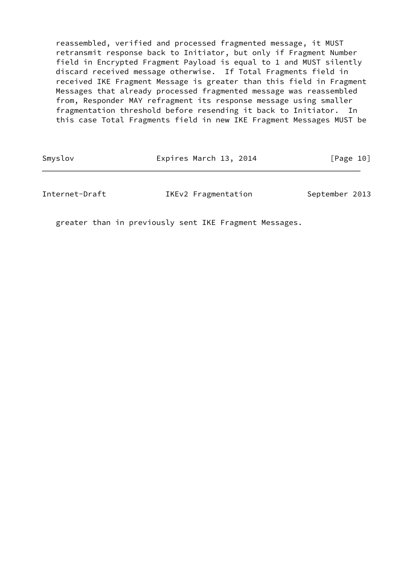reassembled, verified and processed fragmented message, it MUST retransmit response back to Initiator, but only if Fragment Number field in Encrypted Fragment Payload is equal to 1 and MUST silently discard received message otherwise. If Total Fragments field in received IKE Fragment Message is greater than this field in Fragment Messages that already processed fragmented message was reassembled from, Responder MAY refragment its response message using smaller fragmentation threshold before resending it back to Initiator. In this case Total Fragments field in new IKE Fragment Messages MUST be

| Smyslov | Expires March 13, 2014 | [Page 10] |
|---------|------------------------|-----------|
|---------|------------------------|-----------|

Internet-Draft IKEv2 Fragmentation September 2013

greater than in previously sent IKE Fragment Messages.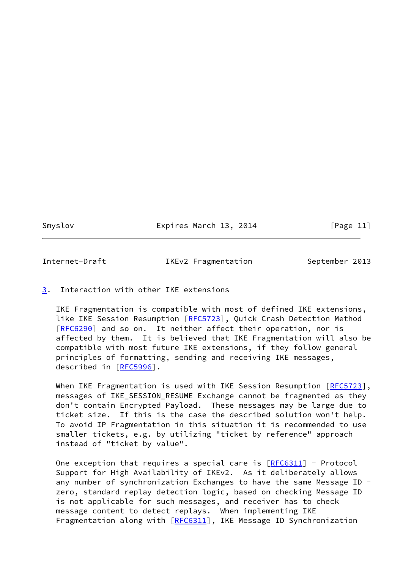Smyslov **Expires March 13, 2014** [Page 11]

<span id="page-12-1"></span>Internet-Draft TKEv2 Fragmentation September 2013

### <span id="page-12-0"></span>[3](#page-12-0). Interaction with other IKE extensions

 IKE Fragmentation is compatible with most of defined IKE extensions, like IKE Session Resumption [\[RFC5723](https://datatracker.ietf.org/doc/pdf/rfc5723)], Quick Crash Detection Method [\[RFC6290](https://datatracker.ietf.org/doc/pdf/rfc6290)] and so on. It neither affect their operation, nor is affected by them. It is believed that IKE Fragmentation will also be compatible with most future IKE extensions, if they follow general principles of formatting, sending and receiving IKE messages, described in [\[RFC5996](https://datatracker.ietf.org/doc/pdf/rfc5996)].

When IKE Fragmentation is used with IKE Session Resumption [[RFC5723\]](https://datatracker.ietf.org/doc/pdf/rfc5723), messages of IKE\_SESSION\_RESUME Exchange cannot be fragmented as they don't contain Encrypted Payload. These messages may be large due to ticket size. If this is the case the described solution won't help. To avoid IP Fragmentation in this situation it is recommended to use smaller tickets, e.g. by utilizing "ticket by reference" approach instead of "ticket by value".

One exception that requires a special care is  $[REC6311]$  - Protocol Support for High Availability of IKEv2. As it deliberately allows any number of synchronization Exchanges to have the same Message ID zero, standard replay detection logic, based on checking Message ID is not applicable for such messages, and receiver has to check message content to detect replays. When implementing IKE Fragmentation along with [\[RFC6311](https://datatracker.ietf.org/doc/pdf/rfc6311)], IKE Message ID Synchronization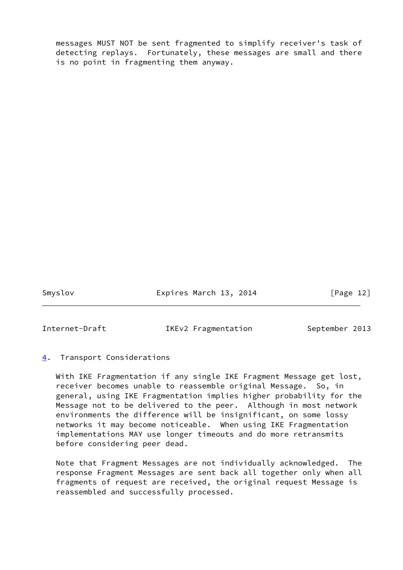messages MUST NOT be sent fragmented to simplify receiver's task of detecting replays. Fortunately, these messages are small and there is no point in fragmenting them anyway.

Smyslov **Expires March 13, 2014** [Page 12]

<span id="page-13-1"></span>

Internet-Draft TKEv2 Fragmentation September 2013

## <span id="page-13-0"></span>[4](#page-13-0). Transport Considerations

 With IKE Fragmentation if any single IKE Fragment Message get lost, receiver becomes unable to reassemble original Message. So, in general, using IKE Fragmentation implies higher probability for the Message not to be delivered to the peer. Although in most network environments the difference will be insignificant, on some lossy networks it may become noticeable. When using IKE Fragmentation implementations MAY use longer timeouts and do more retransmits before considering peer dead.

 Note that Fragment Messages are not individually acknowledged. The response Fragment Messages are sent back all together only when all fragments of request are received, the original request Message is reassembled and successfully processed.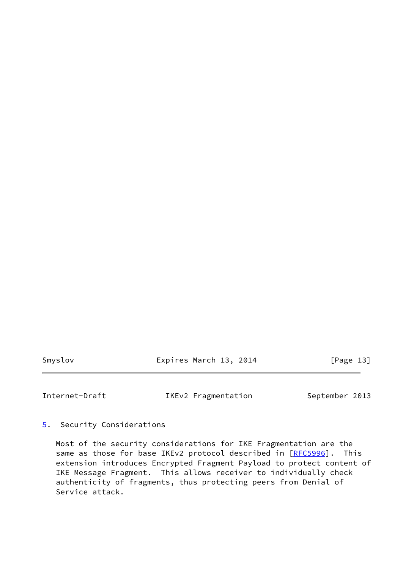Smyslov **Expires March 13, 2014** [Page 13]

<span id="page-14-1"></span>

Internet-Draft IKEv2 Fragmentation September 2013

## <span id="page-14-0"></span>[5](#page-14-0). Security Considerations

 Most of the security considerations for IKE Fragmentation are the same as those for base IKEv2 protocol described in [[RFC5996\]](https://datatracker.ietf.org/doc/pdf/rfc5996). This extension introduces Encrypted Fragment Payload to protect content of IKE Message Fragment. This allows receiver to individually check authenticity of fragments, thus protecting peers from Denial of Service attack.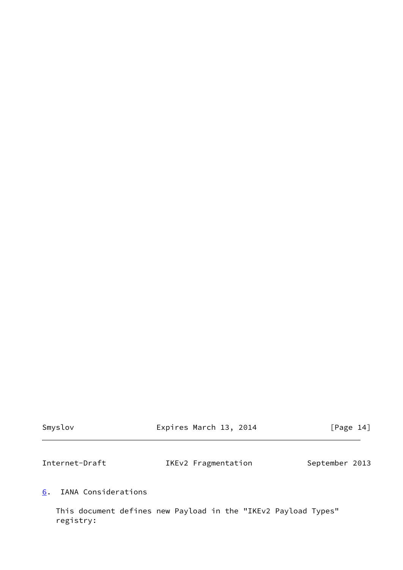<span id="page-15-1"></span>

| Smyslov        | Expires March 13, 2014 | [Page 14]      |
|----------------|------------------------|----------------|
| Internet-Draft | IKEv2 Fragmentation    | September 2013 |
|                |                        |                |

<span id="page-15-0"></span>[6](#page-15-0). IANA Considerations

 This document defines new Payload in the "IKEv2 Payload Types" registry: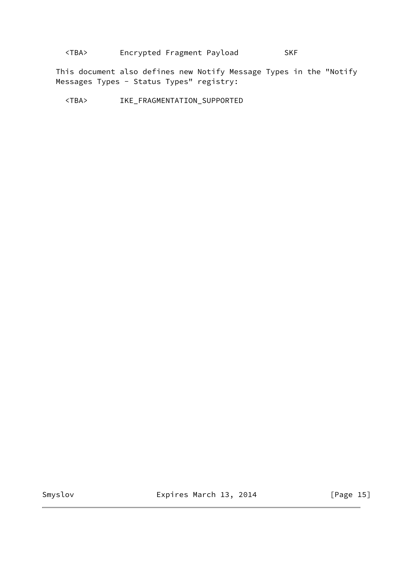# <TBA> Encrypted Fragment Payload SKF

 This document also defines new Notify Message Types in the "Notify Messages Types - Status Types" registry:

<TBA> IKE\_FRAGMENTATION\_SUPPORTED

Smyslov **Expires March 13, 2014** [Page 15]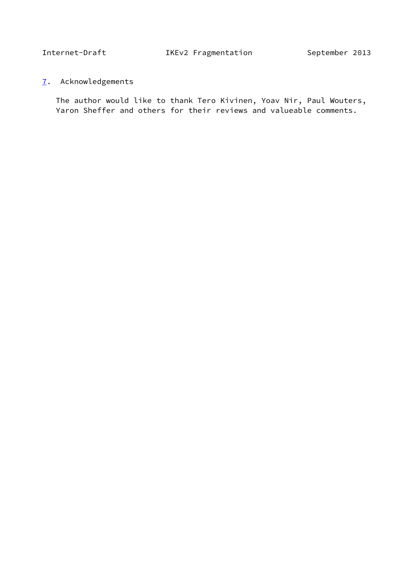<span id="page-17-1"></span><span id="page-17-0"></span>[7](#page-17-0). Acknowledgements

 The author would like to thank Tero Kivinen, Yoav Nir, Paul Wouters, Yaron Sheffer and others for their reviews and valueable comments.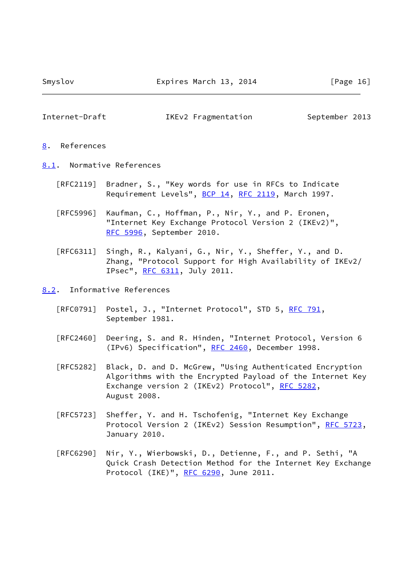<span id="page-18-1"></span>Internet-Draft IKEv2 Fragmentation September 2013

#### <span id="page-18-0"></span>[8](#page-18-0). References

- <span id="page-18-2"></span>[8.1](#page-18-2). Normative References
	- [RFC2119] Bradner, S., "Key words for use in RFCs to Indicate Requirement Levels", [BCP 14](https://datatracker.ietf.org/doc/pdf/bcp14), [RFC 2119](https://datatracker.ietf.org/doc/pdf/rfc2119), March 1997.
	- [RFC5996] Kaufman, C., Hoffman, P., Nir, Y., and P. Eronen, "Internet Key Exchange Protocol Version 2 (IKEv2)", [RFC 5996,](https://datatracker.ietf.org/doc/pdf/rfc5996) September 2010.
	- [RFC6311] Singh, R., Kalyani, G., Nir, Y., Sheffer, Y., and D. Zhang, "Protocol Support for High Availability of IKEv2/ IPsec", [RFC 6311,](https://datatracker.ietf.org/doc/pdf/rfc6311) July 2011.
- <span id="page-18-3"></span>[8.2](#page-18-3). Informative References
	- [RFC0791] Postel, J., "Internet Protocol", STD 5, [RFC 791](https://datatracker.ietf.org/doc/pdf/rfc791), September 1981.
	- [RFC2460] Deering, S. and R. Hinden, "Internet Protocol, Version 6 (IPv6) Specification", [RFC 2460](https://datatracker.ietf.org/doc/pdf/rfc2460), December 1998.
	- [RFC5282] Black, D. and D. McGrew, "Using Authenticated Encryption Algorithms with the Encrypted Payload of the Internet Key Exchange version 2 (IKEv2) Protocol", [RFC 5282](https://datatracker.ietf.org/doc/pdf/rfc5282), August 2008.
	- [RFC5723] Sheffer, Y. and H. Tschofenig, "Internet Key Exchange Protocol Version 2 (IKEv2) Session Resumption", [RFC 5723,](https://datatracker.ietf.org/doc/pdf/rfc5723) January 2010.
	- [RFC6290] Nir, Y., Wierbowski, D., Detienne, F., and P. Sethi, "A Quick Crash Detection Method for the Internet Key Exchange Protocol (IKE)", [RFC 6290,](https://datatracker.ietf.org/doc/pdf/rfc6290) June 2011.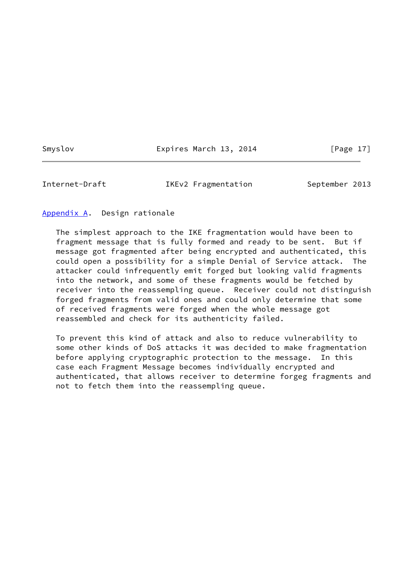Smyslov **Expires March 13, 2014** [Page 17]

<span id="page-19-1"></span>Internet-Draft IKEv2 Fragmentation September 2013

#### <span id="page-19-0"></span>[Appendix A.](#page-19-0) Design rationale

 The simplest approach to the IKE fragmentation would have been to fragment message that is fully formed and ready to be sent. But if message got fragmented after being encrypted and authenticated, this could open a possibility for a simple Denial of Service attack. The attacker could infrequently emit forged but looking valid fragments into the network, and some of these fragments would be fetched by receiver into the reassempling queue. Receiver could not distinguish forged fragments from valid ones and could only determine that some of received fragments were forged when the whole message got reassembled and check for its authenticity failed.

 To prevent this kind of attack and also to reduce vulnerability to some other kinds of DoS attacks it was decided to make fragmentation before applying cryptographic protection to the message. In this case each Fragment Message becomes individually encrypted and authenticated, that allows receiver to determine forgeg fragments and not to fetch them into the reassempling queue.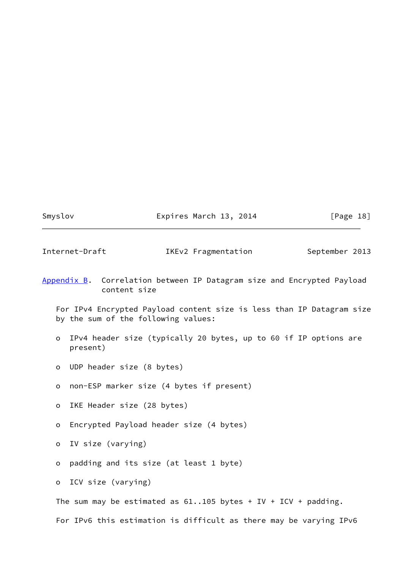Smyslov **Expires March 13, 2014** [Page 18]

<span id="page-20-1"></span>Internet-Draft IKEv2 Fragmentation September 2013

<span id="page-20-0"></span>[Appendix B.](#page-20-0) Correlation between IP Datagram size and Encrypted Payload content size

 For IPv4 Encrypted Payload content size is less than IP Datagram size by the sum of the following values:

- o IPv4 header size (typically 20 bytes, up to 60 if IP options are present)
- o UDP header size (8 bytes)
- o non-ESP marker size (4 bytes if present)
- o IKE Header size (28 bytes)
- o Encrypted Payload header size (4 bytes)
- o IV size (varying)
- o padding and its size (at least 1 byte)

o ICV size (varying)

The sum may be estimated as  $61..105$  bytes + IV + ICV + padding.

For IPv6 this estimation is difficult as there may be varying IPv6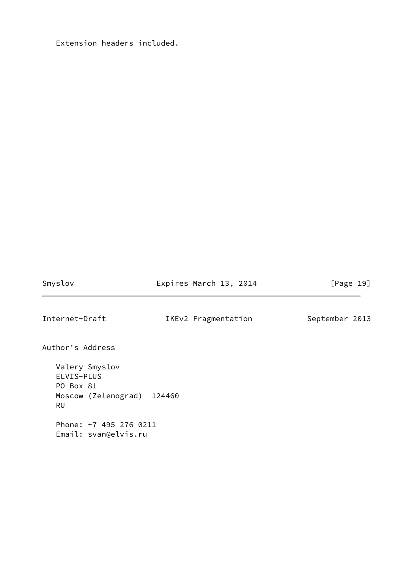Extension headers included.

Smyslov **Expires March 13, 2014** [Page 19]

<span id="page-21-0"></span>Internet-Draft IKEv2 Fragmentation September 2013

Author's Address

 Valery Smyslov ELVIS-PLUS PO Box 81 Moscow (Zelenograd) 124460 RU Phone: +7 495 276 0211 Email: svan@elvis.ru